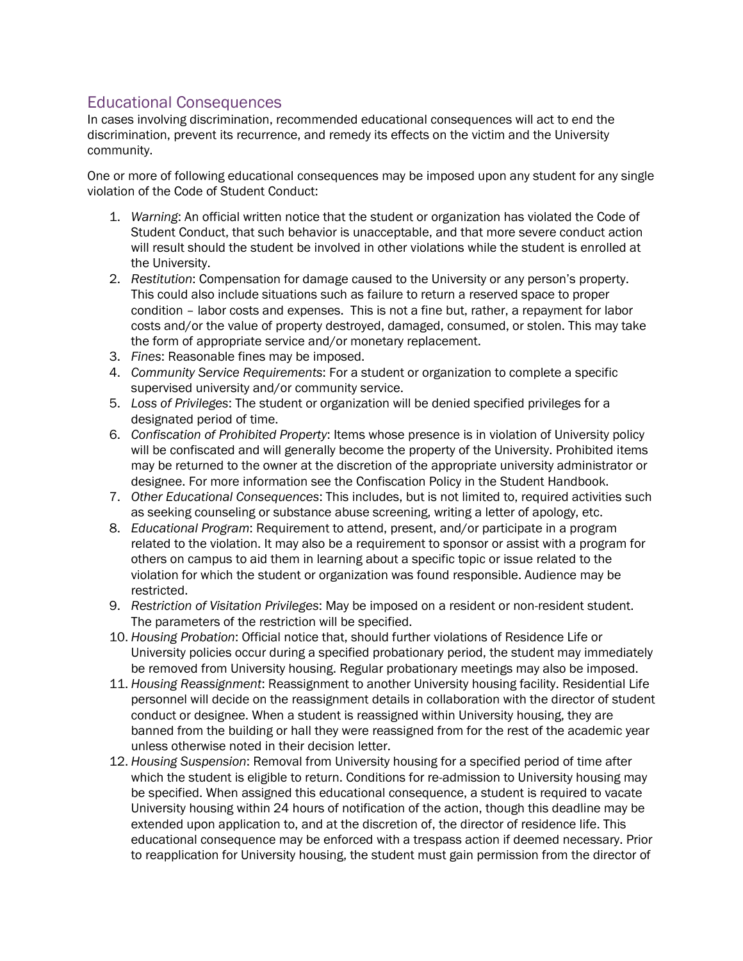## Educational Consequences

In cases involving discrimination, recommended educational consequences will act to end the discrimination, prevent its recurrence, and remedy its effects on the victim and the University community.

One or more of following educational consequences may be imposed upon any student for any single violation of the Code of Student Conduct:

- 1. *Warning*: An official written notice that the student or organization has violated the Code of Student Conduct, that such behavior is unacceptable, and that more severe conduct action will result should the student be involved in other violations while the student is enrolled at the University.
- 2. *Restitution*: Compensation for damage caused to the University or any person's property. This could also include situations such as failure to return a reserved space to proper condition – labor costs and expenses. This is not a fine but, rather, a repayment for labor costs and/or the value of property destroyed, damaged, consumed, or stolen. This may take the form of appropriate service and/or monetary replacement.
- 3. *Fines*: Reasonable fines may be imposed.
- 4. *Community Service Requirements*: For a student or organization to complete a specific supervised university and/or community service.
- 5. *Loss of Privileges*: The student or organization will be denied specified privileges for a designated period of time.
- 6. *Confiscation of Prohibited Property*: Items whose presence is in violation of University policy will be confiscated and will generally become the property of the University. Prohibited items may be returned to the owner at the discretion of the appropriate university administrator or designee. For more information see the Confiscation Policy in the Student Handbook.
- 7. *Other Educational Consequences*: This includes, but is not limited to, required activities such as seeking counseling or substance abuse screening, writing a letter of apology, etc.
- 8. *Educational Program*: Requirement to attend, present, and/or participate in a program related to the violation. It may also be a requirement to sponsor or assist with a program for others on campus to aid them in learning about a specific topic or issue related to the violation for which the student or organization was found responsible. Audience may be restricted.
- 9. *Restriction of Visitation Privileges*: May be imposed on a resident or non-resident student. The parameters of the restriction will be specified.
- 10. *Housing Probation*: Official notice that, should further violations of Residence Life or University policies occur during a specified probationary period, the student may immediately be removed from University housing. Regular probationary meetings may also be imposed.
- 11. *Housing Reassignment*: Reassignment to another University housing facility. Residential Life personnel will decide on the reassignment details in collaboration with the director of student conduct or designee. When a student is reassigned within University housing, they are banned from the building or hall they were reassigned from for the rest of the academic year unless otherwise noted in their decision letter.
- 12. *Housing Suspension*: Removal from University housing for a specified period of time after which the student is eligible to return. Conditions for re-admission to University housing may be specified. When assigned this educational consequence, a student is required to vacate University housing within 24 hours of notification of the action, though this deadline may be extended upon application to, and at the discretion of, the director of residence life. This educational consequence may be enforced with a trespass action if deemed necessary. Prior to reapplication for University housing, the student must gain permission from the director of